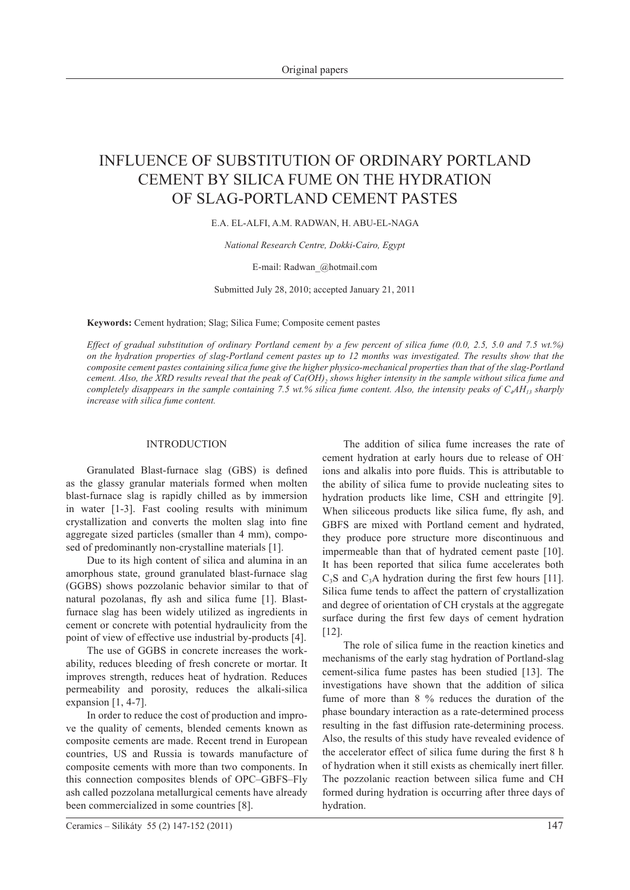# INFLUENCE OF SUBSTITUTION OF ORDINARY PORTLAND CEMENT BY SILICA FUME ON THE HYDRATION OF SLAG-PORTLAND CEMENT PASTES

# E.A. El-Alfi, A.M. Radwan, H. Abu-EL-Naga

*National Research Centre, Dokki-Cairo, Egypt*

## E-mail: Radwan\_@hotmail.com

Submitted July 28, 2010; accepted January 21, 2011

**Keywords:** Cement hydration; Slag; Silica Fume; Composite cement pastes

*Effect of gradual substitution of ordinary Portland cement by a few percent of silica fume (0.0, 2.5, 5.0 and 7.5 wt.%) on the hydration properties of slag-Portland cement pastes up to 12 months was investigated. The results show that the composite cement pastes containing silica fume give the higher physico-mechanical properties than that of the slag-Portland cement. Also, the XRD results reveal that the peak of Ca(OH), shows higher intensity in the sample without silica fume and completely disappears in the sample containing 7.5 wt.% silica fume content. Also, the intensity peaks of*  $C_4AH_1$ *<sub>3</sub> sharply increase with silica fume content.* 

# INTRODUCTION

Granulated Blast-furnace slag (GBS) is defined as the glassy granular materials formed when molten blast-furnace slag is rapidly chilled as by immersion in water [1-3]. Fast cooling results with minimum crystallization and converts the molten slag into fine aggregate sized particles (smaller than 4 mm), composed of predominantly non-crystalline materials [1].

Due to its high content of silica and alumina in an amorphous state, ground granulated blast-furnace slag (GGBS) shows pozzolanic behavior similar to that of natural pozolanas, fly ash and silica fume [1]. Blastfurnace slag has been widely utilized as ingredients in cement or concrete with potential hydraulicity from the point of view of effective use industrial by-products [4].

The use of GGBS in concrete increases the workability, reduces bleeding of fresh concrete or mortar. It improves strength, reduces heat of hydration. Reduces permeability and porosity, reduces the alkali-silica expansion  $[1, 4-7]$ .

In order to reduce the cost of production and improve the quality of cements, blended cements known as composite cements are made. Recent trend in European countries, US and Russia is towards manufacture of composite cements with more than two components. In this connection composites blends of OPC–GBFS–Fly ash called pozzolana metallurgical cements have already been commercialized in some countries [8].

The addition of silica fume increases the rate of cement hydration at early hours due to release of OHions and alkalis into pore fluids. This is attributable to the ability of silica fume to provide nucleating sites to hydration products like lime, CSH and ettringite [9]. When siliceous products like silica fume, fly ash, and GBFS are mixed with Portland cement and hydrated, they produce pore structure more discontinuous and impermeable than that of hydrated cement paste [10]. It has been reported that silica fume accelerates both  $C_3S$  and  $C_3A$  hydration during the first few hours [11]. Silica fume tends to affect the pattern of crystallization and degree of orientation of CH crystals at the aggregate surface during the first few days of cement hydration [12].

The role of silica fume in the reaction kinetics and mechanisms of the early stag hydration of Portland-slag cement-silica fume pastes has been studied [13]. The investigations have shown that the addition of silica fume of more than 8 % reduces the duration of the phase boundary interaction as a rate-determined process resulting in the fast diffusion rate-determining process. Also, the results of this study have revealed evidence of the accelerator effect of silica fume during the first 8 h of hydration when it still exists as chemically inert filler. The pozzolanic reaction between silica fume and CH formed during hydration is occurring after three days of hydration.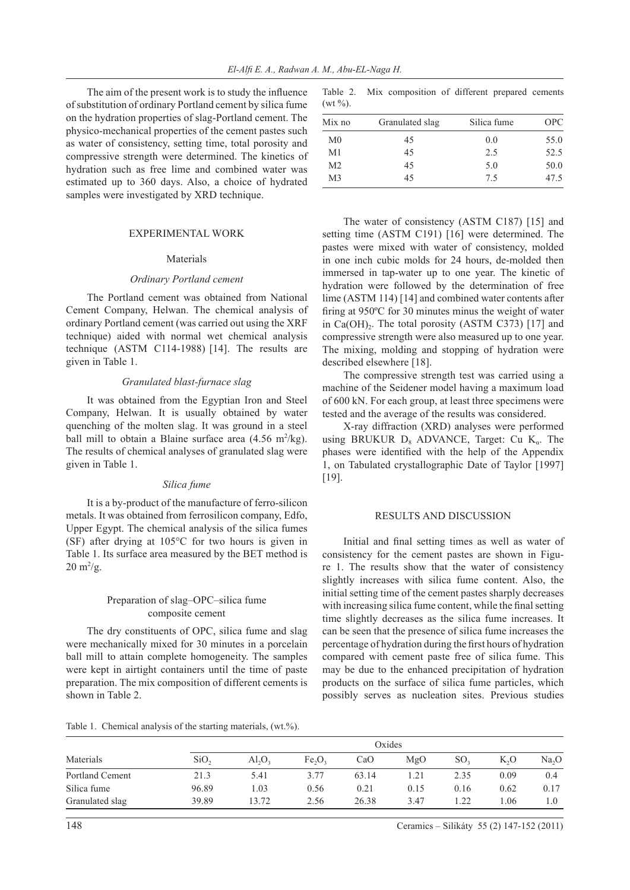The aim of the present work is to study the influence of substitution of ordinary Portland cement by silica fume on the hydration properties of slag-Portland cement. The physico-mechanical properties of the cement pastes such as water of consistency, setting time, total porosity and compressive strength were determined. The kinetics of hydration such as free lime and combined water was estimated up to 360 days. Also, a choice of hydrated samples were investigated by XRD technique.

#### EXPERIMENTAL WORK

## Materials

#### *Ordinary Portland cement*

The Portland cement was obtained from National Cement Company, Helwan. The chemical analysis of ordinary Portland cement (was carried out using the XRF technique) aided with normal wet chemical analysis technique (ASTM C114-1988) [14]. The results are given in Table 1.

#### *Granulated blast-furnace slag*

It was obtained from the Egyptian Iron and Steel Company, Helwan. It is usually obtained by water quenching of the molten slag. It was ground in a steel ball mill to obtain a Blaine surface area  $(4.56 \text{ m}^2/\text{kg})$ . The results of chemical analyses of granulated slag were given in Table 1.

#### *Silica fume*

It is a by-product of the manufacture of ferro-silicon metals. It was obtained from ferrosilicon company, Edfo, Upper Egypt. The chemical analysis of the silica fumes (SF) after drying at 105°C for two hours is given in Table 1. Its surface area measured by the BET method is  $20 \text{ m}^2/\text{g}$ .

# Preparation of slag–OPC–silica fume composite cement

The dry constituents of OPC, silica fume and slag were mechanically mixed for 30 minutes in a porcelain ball mill to attain complete homogeneity. The samples were kept in airtight containers until the time of paste preparation. The mix composition of different cements is shown in Table 2.

Table 2. Mix composition of different prepared cements  $(wt \frac{9}{0})$ .

| Mix no         | Granulated slag | Silica fume | <b>OPC</b> |  |  |  |  |  |
|----------------|-----------------|-------------|------------|--|--|--|--|--|
| M <sub>0</sub> | 45              | 0.0         | 55.0       |  |  |  |  |  |
| M <sub>1</sub> | 45              | 2.5         | 52.5       |  |  |  |  |  |
| M <sub>2</sub> | 45              | 5.0         | 50.0       |  |  |  |  |  |
| M <sub>3</sub> | 45              | 75          | 47.5       |  |  |  |  |  |

The water of consistency (ASTM C187) [15] and setting time (ASTM C191) [16] were determined. The pastes were mixed with water of consistency, molded in one inch cubic molds for 24 hours, de-molded then immersed in tap-water up to one year. The kinetic of hydration were followed by the determination of free lime (ASTM 114) [14] and combined water contents after firing at 950ºC for 30 minutes minus the weight of water in Ca(OH) $_{2}$ . The total porosity (ASTM C373) [17] and compressive strength were also measured up to one year. The mixing, molding and stopping of hydration were described elsewhere [18].

The compressive strength test was carried using a machine of the Seidener model having a maximum load of 600 kN. For each group, at least three specimens were tested and the average of the results was considered.

X-ray diffraction (XRD) analyses were performed using BRUKUR  $D_8$  ADVANCE, Target: Cu K<sub>a</sub>. The phases were identified with the help of the Appendix 1, on Tabulated crystallographic Date of Taylor [1997] [19].

# RESULTS AND DISCUSSION

Initial and final setting times as well as water of consistency for the cement pastes are shown in Figure 1. The results show that the water of consistency slightly increases with silica fume content. Also, the initial setting time of the cement pastes sharply decreases with increasing silica fume content, while the final setting time slightly decreases as the silica fume increases. It can be seen that the presence of silica fume increases the percentage of hydration during the first hours of hydration compared with cement paste free of silica fume. This may be due to the enhanced precipitation of hydration products on the surface of silica fume particles, which possibly serves as nucleation sites. Previous studies

| Materials       | Oxides |           |                                |       |      |      |        |                   |  |
|-----------------|--------|-----------|--------------------------------|-------|------|------|--------|-------------------|--|
|                 | SiO,   | $Al_2O_2$ | Fe <sub>2</sub> O <sub>3</sub> | CaO   | MgO  | SO,  | $K_2O$ | Na <sub>2</sub> O |  |
| Portland Cement | 21.3   | 5.41      | 377                            | 63.14 |      | 2.35 | 0.09   | $0.4^{\circ}$     |  |
| Silica fume     | 96.89  | .03       | 0.56                           | 0.21  | 0.15 | 0.16 | 0.62   | 0.17              |  |

Granulated slag 39.89 13.72 2.56 26.38 3.47 1.22 1.06 1.0

Table 1. Chemical analysis of the starting materials, (wt.%).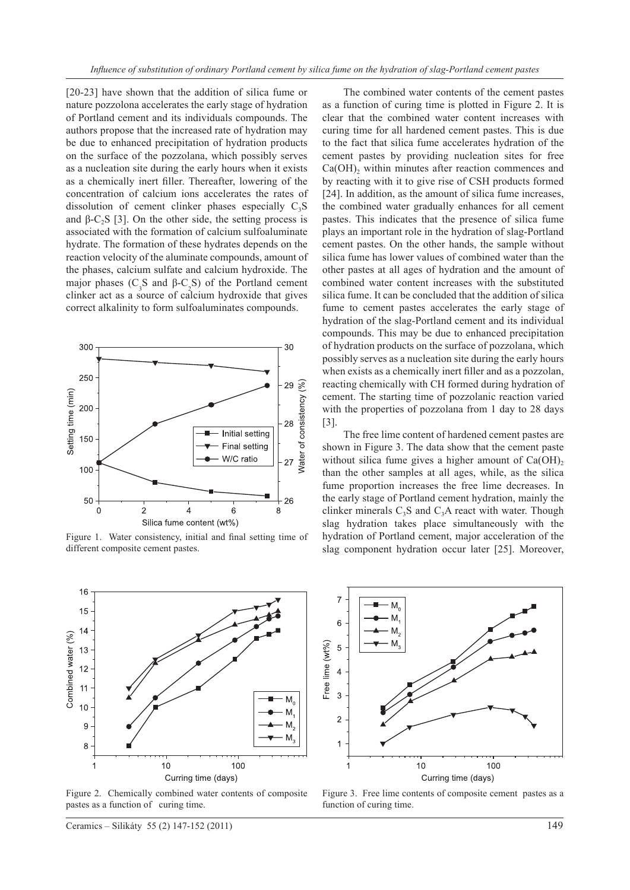[20-23] have shown that the addition of silica fume or nature pozzolona accelerates the early stage of hydration of Portland cement and its individuals compounds. The authors propose that the increased rate of hydration may be due to enhanced precipitation of hydration products on the surface of the pozzolana, which possibly serves as a nucleation site during the early hours when it exists as a chemically inert filler. Thereafter, lowering of the concentration of calcium ions accelerates the rates of dissolution of cement clinker phases especially  $C_3S$ and  $\beta$ -C<sub>2</sub>S [3]. On the other side, the setting process is associated with the formation of calcium sulfoaluminate hydrate. The formation of these hydrates depends on the reaction velocity of the aluminate compounds, amount of the phases, calcium sulfate and calcium hydroxide. The major phases  $(C_3 S \text{ and } \beta-C_2 S)$  of the Portland cement clinker act as a source of calcium hydroxide that gives correct alkalinity to form sulfoaluminates compounds.



Figure 1. Water consistency, initial and final setting time of different composite cement pastes.



Figure 2. Chemically combined water contents of composite pastes as a function of curing time.

Ceramics – Silikáty 55 (2) 147-152 (2011) 149

The combined water contents of the cement pastes as a function of curing time is plotted in Figure 2. It is clear that the combined water content increases with curing time for all hardened cement pastes. This is due to the fact that silica fume accelerates hydration of the cement pastes by providing nucleation sites for free  $Ca(OH)$ , within minutes after reaction commences and by reacting with it to give rise of CSH products formed [24]. In addition, as the amount of silica fume increases, the combined water gradually enhances for all cement pastes. This indicates that the presence of silica fume plays an important role in the hydration of slag-Portland cement pastes. On the other hands, the sample without silica fume has lower values of combined water than the other pastes at all ages of hydration and the amount of combined water content increases with the substituted silica fume. It can be concluded that the addition of silica fume to cement pastes accelerates the early stage of hydration of the slag-Portland cement and its individual compounds. This may be due to enhanced precipitation of hydration products on the surface of pozzolana, which possibly serves as a nucleation site during the early hours when exists as a chemically inert filler and as a pozzolan, reacting chemically with CH formed during hydration of cement. The starting time of pozzolanic reaction varied with the properties of pozzolana from 1 day to 28 days [3].

The free lime content of hardened cement pastes are shown in Figure 3. The data show that the cement paste without silica fume gives a higher amount of  $Ca(OH)$ , than the other samples at all ages, while, as the silica fume proportion increases the free lime decreases. In the early stage of Portland cement hydration, mainly the clinker minerals  $C_3S$  and  $C_3A$  react with water. Though slag hydration takes place simultaneously with the hydration of Portland cement, major acceleration of the slag component hydration occur later [25]. Moreover,



Figure 3. Free lime contents of composite cement pastes as a function of curing time.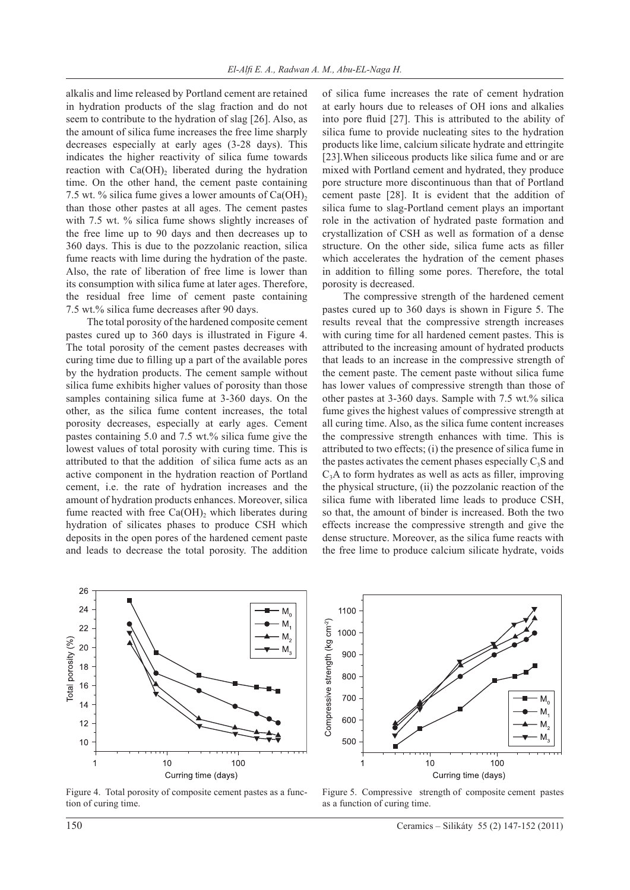alkalis and lime released by Portland cement are retained in hydration products of the slag fraction and do not seem to contribute to the hydration of slag [26]. Also, as the amount of silica fume increases the free lime sharply decreases especially at early ages (3-28 days). This indicates the higher reactivity of silica fume towards reaction with  $Ca(OH)$ <sub>2</sub> liberated during the hydration time. On the other hand, the cement paste containing 7.5 wt. % silica fume gives a lower amounts of  $Ca(OH)$ , than those other pastes at all ages. The cement pastes with 7.5 wt. % silica fume shows slightly increases of the free lime up to 90 days and then decreases up to 360 days. This is due to the pozzolanic reaction, silica fume reacts with lime during the hydration of the paste. Also, the rate of liberation of free lime is lower than its consumption with silica fume at later ages. Therefore, the residual free lime of cement paste containing 7.5 wt.% silica fume decreases after 90 days.

The total porosity of the hardened composite cement pastes cured up to 360 days is illustrated in Figure 4. The total porosity of the cement pastes decreases with curing time due to filling up a part of the available pores by the hydration products. The cement sample without silica fume exhibits higher values of porosity than those samples containing silica fume at 3-360 days. On the other, as the silica fume content increases, the total porosity decreases, especially at early ages. Cement pastes containing 5.0 and 7.5 wt.% silica fume give the lowest values of total porosity with curing time. This is attributed to that the addition of silica fume acts as an active component in the hydration reaction of Portland cement, i.e. the rate of hydration increases and the amount of hydration products enhances. Moreover, silica fume reacted with free  $Ca(OH)$ , which liberates during hydration of silicates phases to produce CSH which deposits in the open pores of the hardened cement paste and leads to decrease the total porosity. The addition of silica fume increases the rate of cement hydration at early hours due to releases of OH ions and alkalies into pore fluid [27]. This is attributed to the ability of silica fume to provide nucleating sites to the hydration products like lime, calcium silicate hydrate and ettringite [23].When siliceous products like silica fume and or are mixed with Portland cement and hydrated, they produce pore structure more discontinuous than that of Portland cement paste [28]. It is evident that the addition of silica fume to slag-Portland cement plays an important role in the activation of hydrated paste formation and crystallization of CSH as well as formation of a dense structure. On the other side, silica fume acts as filler which accelerates the hydration of the cement phases in addition to filling some pores. Therefore, the total porosity is decreased.

The compressive strength of the hardened cement pastes cured up to 360 days is shown in Figure 5. The results reveal that the compressive strength increases with curing time for all hardened cement pastes. This is attributed to the increasing amount of hydrated products that leads to an increase in the compressive strength of the cement paste. The cement paste without silica fume has lower values of compressive strength than those of other pastes at 3-360 days. Sample with 7.5 wt.% silica fume gives the highest values of compressive strength at all curing time. Also, as the silica fume content increases the compressive strength enhances with time. This is attributed to two effects; (i) the presence of silica fume in the pastes activates the cement phases especially  $C_3S$  and  $C<sub>3</sub>A$  to form hydrates as well as acts as filler, improving the physical structure, (ii) the pozzolanic reaction of the silica fume with liberated lime leads to produce CSH, so that, the amount of binder is increased. Both the two effects increase the compressive strength and give the dense structure. Moreover, as the silica fume reacts with the free lime to produce calcium silicate hydrate, voids



Figure 4. Total porosity of composite cement pastes as a function of curing time.



Figure 5. Compressive strength of composite cement pastes as a function of curing time.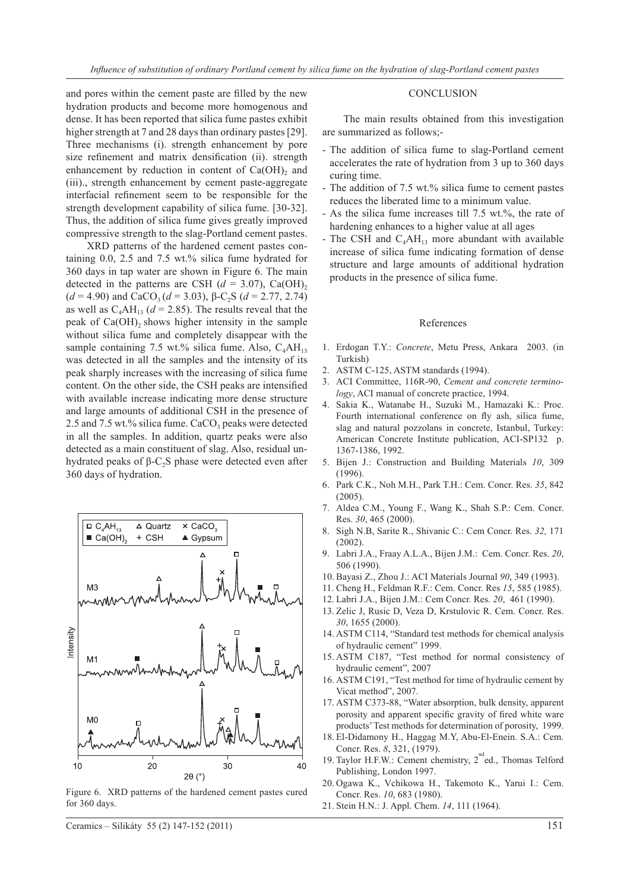and pores within the cement paste are filled by the new hydration products and become more homogenous and dense. It has been reported that silica fume pastes exhibit higher strength at 7 and 28 days than ordinary pastes [29]. Three mechanisms (i). strength enhancement by pore size refinement and matrix densification (ii). strength enhancement by reduction in content of  $Ca(OH)_{2}$  and (iii)., strength enhancement by cement paste-aggregate interfacial refinement seem to be responsible for the strength development capability of silica fume. [30-32]. Thus, the addition of silica fume gives greatly improved compressive strength to the slag-Portland cement pastes.

XRD patterns of the hardened cement pastes containing 0.0, 2.5 and 7.5 wt.% silica fume hydrated for 360 days in tap water are shown in Figure 6. The main detected in the patterns are CSH  $(d = 3.07)$ , Ca(OH)<sub>2</sub> ( $d = 4.90$ ) and CaCO<sub>3</sub> ( $d = 3.03$ ),  $\beta$ -C<sub>2</sub>S ( $d = 2.77, 2.74$ ) as well as  $C_4AH_{13}$  ( $d = 2.85$ ). The results reveal that the peak of  $Ca(OH)$ <sub>2</sub> shows higher intensity in the sample without silica fume and completely disappear with the sample containing 7.5 wt.% silica fume. Also,  $C_4AH_{13}$ was detected in all the samples and the intensity of its peak sharply increases with the increasing of silica fume content. On the other side, the CSH peaks are intensified with available increase indicating more dense structure and large amounts of additional CSH in the presence of 2.5 and 7.5 wt.% silica fume.  $CaCO<sub>3</sub>$  peaks were detected in all the samples. In addition, quartz peaks were also detected as a main constituent of slag. Also, residual unhydrated peaks of β-C<sub>2</sub>S phase were detected even after 360 days of hydration.



Figure 6. XRD patterns of the hardened cement pastes cured for 360 days.

#### **CONCLUSION**

The main results obtained from this investigation are summarized as follows;-

- The addition of silica fume to slag-Portland cement accelerates the rate of hydration from 3 up to 360 days curing time.
- The addition of 7.5 wt.% silica fume to cement pastes reduces the liberated lime to a minimum value.
- As the silica fume increases till 7.5 wt.%, the rate of hardening enhances to a higher value at all ages
- The CSH and  $C_4AH_{13}$  more abundant with available increase of silica fume indicating formation of dense structure and large amounts of additional hydration products in the presence of silica fume.

#### References

- 1. Erdogan T.Y.: *Concrete*, Metu Press, Ankara 2003. (in Turkish)
- 2. ASTM C-125, ASTM standards (1994).
- 3. ACI Committee, 116R-90, *Cement and concrete terminology*, ACI manual of concrete practice, 1994.
- 4. Sakia K., Watanabe H., Suzuki M., Hamazaki K.: Proc. Fourth international conference on fly ash, silica fume, slag and natural pozzolans in concrete, Istanbul, Turkey: American Concrete Institute publication, ACI-SP132 p. 1367-1386, 1992.
- 5. Bijen J.: Construction and Building Materials *10*, 309 (1996).
- 6. Park C.K., Noh M.H., Park T.H.: Cem. Concr. Res. *35*, 842  $(2005)$
- 7. Aldea C.M., Young F., Wang K., Shah S.P.: Cem. Concr. Res. *30*, 465 (2000).
- 8. Sigh N.B, Sarite R., Shivanic C.: Cem Concr. Res. *32,* 171 (2002).
- 9. Labri J.A., Fraay A.L.A., Bijen J.M.: Cem. Concr. Res. *20*, 506 (1990).
- 10. Bayasi Z., Zhou J.: ACI Materials Journal *90*, 349 (1993).
- 11. Cheng H., Feldman R.F.: Cem. Concr. Res *15*, 585 (1985).
- 12. Labri J.A., Bijen J.M.: Cem Concr. Res. *20*, 461 (1990).
- 13. Zelic J, Rusic D, Veza D, Krstulovic R. Cem. Concr. Res. *30*, 1655 (2000).
- 14. ASTM C114, "Standard test methods for chemical analysis of hydraulic cement" 1999.
- 15. ASTM C187, "Test method for normal consistency of hydraulic cement", 2007
- 16. ASTM C191, "Test method for time of hydraulic cement by Vicat method", 2007.
- 17. ASTM C373-88, "Water absorption, bulk density, apparent porosity and apparent specific gravity of fired white ware products' Test methods for determination of porosity, 1999.
- 18. El-Didamony H., Haggag M.Y, Abu-El-Enein. S.A.: Cem. Concr. Res. *8*, 321, (1979).
- 19. Taylor H.F.W.: Cement chemistry, 2<sup>nd</sup>ed., Thomas Telford Publishing, London 1997.
- 20. Ogawa K., Vchikowa H., Takemoto K., Yarui I.: Cem. Concr. Res. *10*, 683 (1980).
- 21. Stein H.N.: J. Appl. Chem. *14*, 111 (1964).